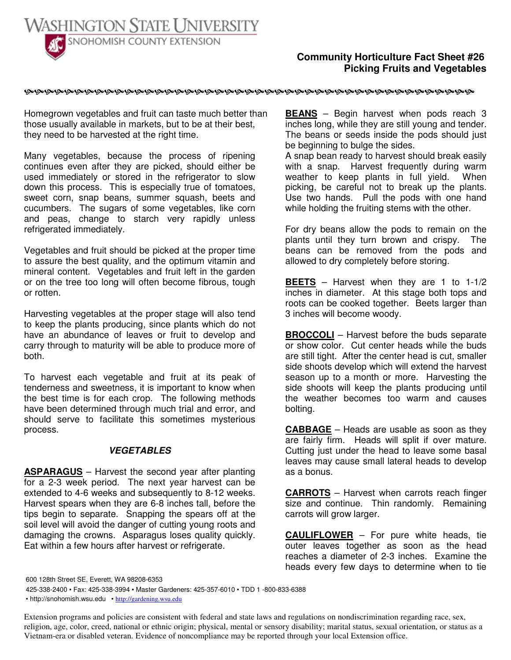

## **Community Horticulture Fact Sheet #26 Picking Fruits and Vegetables**

Homegrown vegetables and fruit can taste much better than those usually available in markets, but to be at their best, they need to be harvested at the right time.

Many vegetables, because the process of ripening continues even after they are picked, should either be used immediately or stored in the refrigerator to slow down this process. This is especially true of tomatoes, sweet corn, snap beans, summer squash, beets and cucumbers. The sugars of some vegetables, like corn and peas, change to starch very rapidly unless refrigerated immediately.

Vegetables and fruit should be picked at the proper time to assure the best quality, and the optimum vitamin and mineral content. Vegetables and fruit left in the garden or on the tree too long will often become fibrous, tough or rotten.

Harvesting vegetables at the proper stage will also tend to keep the plants producing, since plants which do not have an abundance of leaves or fruit to develop and carry through to maturity will be able to produce more of both.

To harvest each vegetable and fruit at its peak of tenderness and sweetness, it is important to know when the best time is for each crop. The following methods have been determined through much trial and error, and should serve to facilitate this sometimes mysterious process.

## *VEGETABLES*

**ASPARAGUS** – Harvest the second year after planting for a 2-3 week period. The next year harvest can be extended to 4-6 weeks and subsequently to 8-12 weeks. Harvest spears when they are 6-8 inches tall, before the tips begin to separate. Snapping the spears off at the soil level will avoid the danger of cutting young roots and damaging the crowns. Asparagus loses quality quickly. Eat within a few hours after harvest or refrigerate.

**BEANS** – Begin harvest when pods reach 3 inches long, while they are still young and tender. The beans or seeds inside the pods should just be beginning to bulge the sides.

A snap bean ready to harvest should break easily with a snap. Harvest frequently during warm weather to keep plants in full yield. When picking, be careful not to break up the plants. Use two hands. Pull the pods with one hand while holding the fruiting stems with the other.

For dry beans allow the pods to remain on the plants until they turn brown and crispy. The beans can be removed from the pods and allowed to dry completely before storing.

**BEETS** – Harvest when they are 1 to 1-1/2 inches in diameter. At this stage both tops and roots can be cooked together. Beets larger than 3 inches will become woody.

**BROCCOLI** – Harvest before the buds separate or show color. Cut center heads while the buds are still tight. After the center head is cut, smaller side shoots develop which will extend the harvest season up to a month or more. Harvesting the side shoots will keep the plants producing until the weather becomes too warm and causes bolting.

**CABBAGE** – Heads are usable as soon as they are fairly firm. Heads will split if over mature. Cutting just under the head to leave some basal leaves may cause small lateral heads to develop as a bonus.

**CARROTS** – Harvest when carrots reach finger size and continue. Thin randomly. Remaining carrots will grow larger.

**CAULIFLOWER** – For pure white heads, tie outer leaves together as soon as the head reaches a diameter of 2-3 inches. Examine the heads every few days to determine when to tie

600 128th Street SE, Everett, WA 98208-6353

425-338-2400 • Fax: 425-338-3994 • Master Gardeners: 425-357-6010 • TDD 1 -800-833-6388

• http://snohomish.wsu.edu • http://gardening.wsu.edu

Extension programs and policies are consistent with federal and state laws and regulations on nondiscrimination regarding race, sex, religion, age, color, creed, national or ethnic origin; physical, mental or sensory disability; marital status, sexual orientation, or status as a Vietnam-era or disabled veteran. Evidence of noncompliance may be reported through your local Extension office.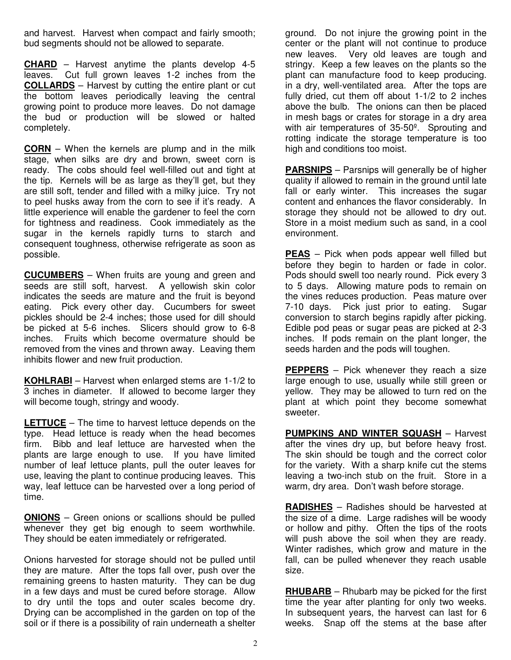and harvest. Harvest when compact and fairly smooth; bud segments should not be allowed to separate.

**CHARD** – Harvest anytime the plants develop 4-5 leaves. Cut full grown leaves 1-2 inches from the **COLLARDS** – Harvest by cutting the entire plant or cut the bottom leaves periodically leaving the central growing point to produce more leaves. Do not damage the bud or production will be slowed or halted completely.

**CORN** – When the kernels are plump and in the milk stage, when silks are dry and brown, sweet corn is ready. The cobs should feel well-filled out and tight at the tip. Kernels will be as large as they'll get, but they are still soft, tender and filled with a milky juice. Try not to peel husks away from the corn to see if it's ready. A little experience will enable the gardener to feel the corn for tightness and readiness. Cook immediately as the sugar in the kernels rapidly turns to starch and consequent toughness, otherwise refrigerate as soon as possible.

**CUCUMBERS** – When fruits are young and green and seeds are still soft, harvest. A yellowish skin color indicates the seeds are mature and the fruit is beyond eating. Pick every other day. Cucumbers for sweet pickles should be 2-4 inches; those used for dill should be picked at 5-6 inches. Slicers should grow to 6-8 inches. Fruits which become overmature should be removed from the vines and thrown away. Leaving them inhibits flower and new fruit production.

**KOHLRABI** – Harvest when enlarged stems are 1-1/2 to 3 inches in diameter. If allowed to become larger they will become tough, stringy and woody.

**LETTUCE** – The time to harvest lettuce depends on the type. Head lettuce is ready when the head becomes firm. Bibb and leaf lettuce are harvested when the plants are large enough to use. If you have limited number of leaf lettuce plants, pull the outer leaves for use, leaving the plant to continue producing leaves. This way, leaf lettuce can be harvested over a long period of time.

**ONIONS** – Green onions or scallions should be pulled whenever they get big enough to seem worthwhile. They should be eaten immediately or refrigerated.

Onions harvested for storage should not be pulled until they are mature. After the tops fall over, push over the remaining greens to hasten maturity. They can be dug in a few days and must be cured before storage. Allow to dry until the tops and outer scales become dry. Drying can be accomplished in the garden on top of the soil or if there is a possibility of rain underneath a shelter ground. Do not injure the growing point in the center or the plant will not continue to produce new leaves. Very old leaves are tough and stringy. Keep a few leaves on the plants so the plant can manufacture food to keep producing. in a dry, well-ventilated area. After the tops are fully dried, cut them off about 1-1/2 to 2 inches above the bulb. The onions can then be placed in mesh bags or crates for storage in a dry area with air temperatures of 35-50º. Sprouting and rotting indicate the storage temperature is too high and conditions too moist.

**PARSNIPS** – Parsnips will generally be of higher quality if allowed to remain in the ground until late fall or early winter. This increases the sugar content and enhances the flavor considerably. In storage they should not be allowed to dry out. Store in a moist medium such as sand, in a cool environment.

**PEAS** – Pick when pods appear well filled but before they begin to harden or fade in color. Pods should swell too nearly round. Pick every 3 to 5 days. Allowing mature pods to remain on the vines reduces production. Peas mature over 7-10 days. Pick just prior to eating. Sugar conversion to starch begins rapidly after picking. Edible pod peas or sugar peas are picked at 2-3 inches. If pods remain on the plant longer, the seeds harden and the pods will toughen.

**PEPPERS** – Pick whenever they reach a size large enough to use, usually while still green or yellow. They may be allowed to turn red on the plant at which point they become somewhat sweeter.

**PUMPKINS AND WINTER SQUASH** – Harvest after the vines dry up, but before heavy frost. The skin should be tough and the correct color for the variety. With a sharp knife cut the stems leaving a two-inch stub on the fruit. Store in a warm, dry area. Don't wash before storage.

**RADISHES** – Radishes should be harvested at the size of a dime. Large radishes will be woody or hollow and pithy. Often the tips of the roots will push above the soil when they are ready. Winter radishes, which grow and mature in the fall, can be pulled whenever they reach usable size.

**RHUBARB** – Rhubarb may be picked for the first time the year after planting for only two weeks. In subsequent years, the harvest can last for 6 weeks. Snap off the stems at the base after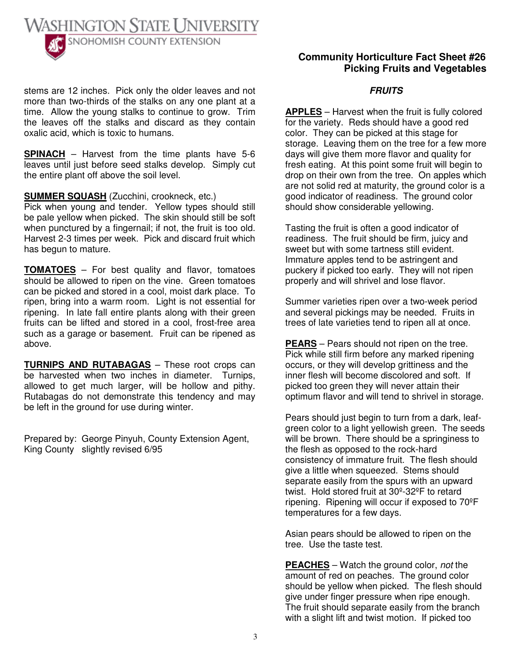

stems are 12 inches. Pick only the older leaves and not more than two-thirds of the stalks on any one plant at a time. Allow the young stalks to continue to grow. Trim the leaves off the stalks and discard as they contain oxalic acid, which is toxic to humans.

**SPINACH** – Harvest from the time plants have 5-6 leaves until just before seed stalks develop. Simply cut the entire plant off above the soil level.

**SUMMER SQUASH** (Zucchini, crookneck, etc.)

Pick when young and tender. Yellow types should still be pale yellow when picked. The skin should still be soft when punctured by a fingernail; if not, the fruit is too old. Harvest 2-3 times per week. Pick and discard fruit which has begun to mature.

**TOMATOES** – For best quality and flavor, tomatoes should be allowed to ripen on the vine. Green tomatoes can be picked and stored in a cool, moist dark place. To ripen, bring into a warm room. Light is not essential for ripening. In late fall entire plants along with their green fruits can be lifted and stored in a cool, frost-free area such as a garage or basement. Fruit can be ripened as above.

**TURNIPS AND RUTABAGAS** – These root crops can be harvested when two inches in diameter. Turnips, allowed to get much larger, will be hollow and pithy. Rutabagas do not demonstrate this tendency and may be left in the ground for use during winter.

Prepared by: George Pinyuh, County Extension Agent, King County slightly revised 6/95

## **Community Horticulture Fact Sheet #26 Picking Fruits and Vegetables**

## *FRUITS*

**APPLES** – Harvest when the fruit is fully colored for the variety. Reds should have a good red color. They can be picked at this stage for storage. Leaving them on the tree for a few more days will give them more flavor and quality for fresh eating. At this point some fruit will begin to drop on their own from the tree. On apples which are not solid red at maturity, the ground color is a good indicator of readiness. The ground color should show considerable yellowing.

Tasting the fruit is often a good indicator of readiness. The fruit should be firm, juicy and sweet but with some tartness still evident. Immature apples tend to be astringent and puckery if picked too early. They will not ripen properly and will shrivel and lose flavor.

Summer varieties ripen over a two-week period and several pickings may be needed. Fruits in trees of late varieties tend to ripen all at once.

**PEARS** – Pears should not ripen on the tree. Pick while still firm before any marked ripening occurs, or they will develop grittiness and the inner flesh will become discolored and soft. If picked too green they will never attain their optimum flavor and will tend to shrivel in storage.

Pears should just begin to turn from a dark, leafgreen color to a light yellowish green. The seeds will be brown. There should be a springiness to the flesh as opposed to the rock-hard consistency of immature fruit. The flesh should give a little when squeezed. Stems should separate easily from the spurs with an upward twist. Hold stored fruit at 30º-32ºF to retard ripening. Ripening will occur if exposed to 70ºF temperatures for a few days.

Asian pears should be allowed to ripen on the tree. Use the taste test.

**PEACHES** – Watch the ground color, *not* the amount of red on peaches. The ground color should be yellow when picked. The flesh should give under finger pressure when ripe enough. The fruit should separate easily from the branch with a slight lift and twist motion. If picked too